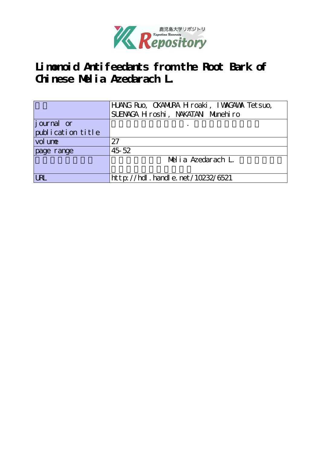

**Limonoid Antifeedants from the Root Bark of Chinese Melia Azedarach L.**

|                   | HANG Ruo, CKANURA H roaki, I WAGAWA Tet suo,<br>SUENACA H roshi, NAKATAN Munehiro |
|-------------------|-----------------------------------------------------------------------------------|
| journal or        |                                                                                   |
|                   |                                                                                   |
| publication title |                                                                                   |
| vol une           | 27                                                                                |
| page range        | 45 52                                                                             |
|                   | Melia Azedarach L.                                                                |
|                   |                                                                                   |
| <b>LRL</b>        | http://hdl.handle.net/10232/6521                                                  |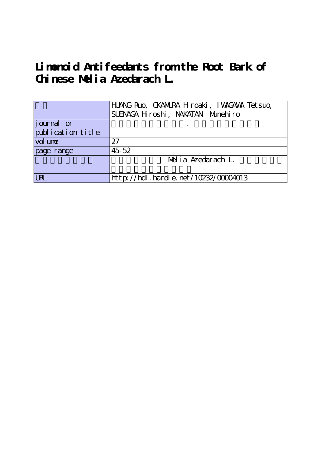**Limonoid Antifeedants from the Root Bark of Chinese Melia Azedarach L.**

|                     | HANG Ruo, CKANIRA Hroaki, IWAGAWA Tetsuo,<br>SUENACA H roshi, NAKATAN Munehiro |
|---------------------|--------------------------------------------------------------------------------|
| journal or          |                                                                                |
| publication title   |                                                                                |
| vol un <del>e</del> | 27                                                                             |
| page range          | 45 52                                                                          |
|                     | Melia Azedarach L.                                                             |
|                     |                                                                                |
| $ $ URL             | http://hdl . handl e. net/10232/00004013                                       |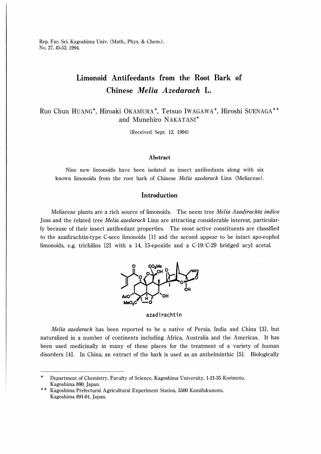Rep. Fac. Sci. Kagoshima Univ. (Math., Phys. & Chem.), No. 27, 45-52, 1994

# Limonoid Antifeedants from the Root Bark of Chinese Melia Azedarach L.

Ruo Chun HUANG\*, Hiroaki OKAMURA\*, Tetsuo IwAGAWA\*, Hiroshi SUENAGA and Munehiro NAKATANI

(Received Sept. 12, 1994)

## Abstract

Nine new lirnonoids have been isolated as insect antifeedants along with six known limonoids from the root bark of Chinese *Melia azedarach* Linn (Meliaceae).

# Introduction

Meliaceae plants are a rich source of limonoids. The neem tree *Melia Azadirachta indica* Juss and the related tree *Melia azedarach* Linn are attracting considerable interest, particularly because of their insect antifeedant properties. The most active constituents are classified to the azadirachtin-type C-seco limonoids [1] and the second appear to be intact apo-euphol limonoids, e.g. trichilins [2] with a 14, 15-epoxide and a C-19/C-29 bridged acyl acetal.



#### azadirachtin

Melia azedarach has been reported to be a native of Persia, India and China [3], but naturalized in a number of continents including Africa, Australia and the Americas. It has been used medicinally in many of these places for the treatment of a variety of human disorders [4]. In China, an extract of the bark is used as an anthelminthic [5J. Biologically

Department of Chemistry, Faculty of Science, Kagoshima University, 1-21-35 Korimoto, Kagoshima 890, Japan.

Kagoshima Prefectural Agricultural Experiment Station, 5500 Kamifukumoto, Kagoshima 891-01, Japan.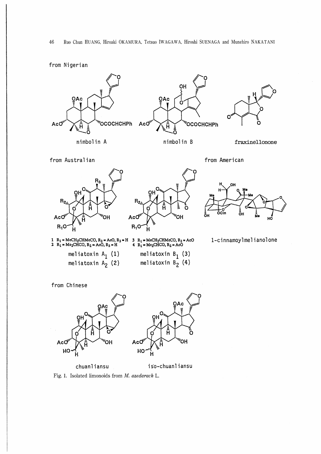from Nigerian



from Chinese



chuanliansu iso-chuanliansu

Fig. 1. Isolated limonoids from M. azedarach L.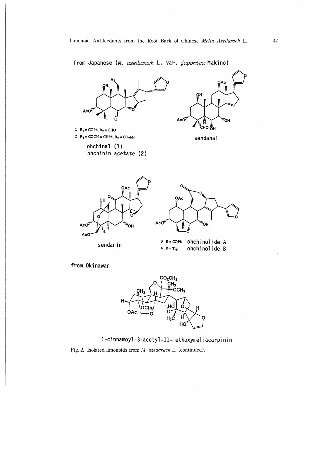from Japanese (M. azedarach L. var. japonica Makino)



from Okinawan



1-cinnamoyl-3-acetyl-11-methoxymeliacarpinin

Fig. 2. Isolated limonoids from M. azedarach L. (continued).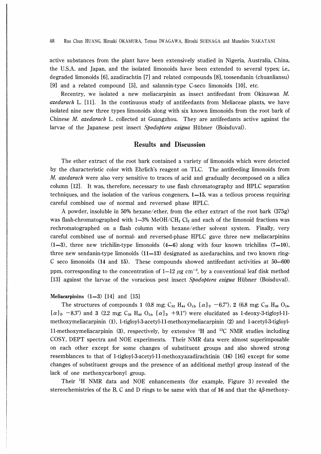48 Ruo Chun HUANG, Hiroaki OKAMURA, Tetsuo IWAGAWA, Hiroshi SUENAGA and Munehiro NAKATANI

active substances from the plant have been extensively studied in Nigeria, Australia, China, the U.S.A. and Japan, and the isolated limonoids have been extended to several types; i.e., degraded limonoids [6], azadirachtin [7] and related compounds [8], toosendanin (chuanliansu) [9] and a related compound [5], and salannin-type C-seco limonoids [10], etc.

Recentry, we isolated a new meliacarpinin as insect antifeedant from Okmawan M. azedarach L. [11]. In the continuous study of antifeedants from Meliaceae plants, we have isolated nine new three types limonoids along with six known limonoids from the root bark of Chinese M. azedarach L. collected at Guangzhou. They are antifeedants active against the larvae of the Japanese pest insect Spodoptera exigua Hübner (Boisduval).

# Results and Discussion

The ether extract of the root bark contained a variety of limonoids which were detected by the characteristic color with Ehrlich's reagent on TLC. The antifeeding limonoids from M. azedarach were also very sensitive to traces of acid and gradually decomposed on a silica column [12]. It was, therefore, necessary to use flash chromatography and HPLC separation techniques, and the isolation of the various congeners,  $1-15$ , was a tedious process requiring careful combined use of normal and reversed phase HPLC.

A powder, insoluble in 50% hexane/ether, from the ether extract of the root bark (375g) was flash-chromatographed with  $1-3%$  MeOH/CH<sub>2</sub> Cl<sub>2</sub> and each of the limonoid fractions was rechromatographed on a flash column with hexane/ether solvent system. Finally, very careful combined use of normal- and reversed-phase HPLC gave three new meliacarpinins  $(1-3)$ , three new trichilin-type limonoids  $(4-6)$  along with four known trichilins  $(7-10)$ , three new sendanin-type limonoids  $(11-13)$  designated as azedarachins, and two known ring-C seco limonoids (14 and 15). These compounds showed antifeedant activities at 50-600 ppm, corresponding to the concentration of  $1-12 \mu g \text{ cm}^{-2}$ , by a conventional leaf disk method [13] against the larvae of the voracious pest insect *Spodoptera exigua* Hübner (Boisduval).

## Meliacarpinins  $(1-3)$  [14] and [15]

The structures of compounds 1 (0.8 mg; C<sub>33</sub> H<sub>44</sub> O<sub>12</sub>, [ $\alpha$ ]<sub>D</sub> -6.7°), 2 (6.8 mg; C<sub>35</sub> H<sub>46</sub> O<sub>14</sub>,  $[\alpha]_{D}$  -8.3°) and 3 (2.2 mg; C<sub>35</sub> H<sub>46</sub> O<sub>14</sub>,  $[\alpha]_{D}$  +9.1°) were elucidated as 1-deoxy-3-tigloyl-11methoxymeliacarpinin (1), 1-tigloyl-3-acetyl-11-methoxymeliacarpinin (2) and 1-acetyl-3-tigloyl-11-methoxymeliacarpinin (3), respectively, by extensive  $^1H$  and  $^{13}C$  NMR studies including COSY, DEPT spectra and NOE experiments. Their NMR data were almost superimposable on each other except for some changes of substituent groups and also showed strong resemblances to that of l-tigloyl-3-acetyl-ll-methoxyazadirachtinin (16) [16] except for some changes of substituent groups and the presence of an additional methyl group instead of the lack of one methoxycarbonyl group.

Their <sup>1</sup>H NMR data and NOE enhancements (for example, Figure 3) revealed the stereochemistries of the B, C and D rings to be same with that of 16 and that the 4β-methoxy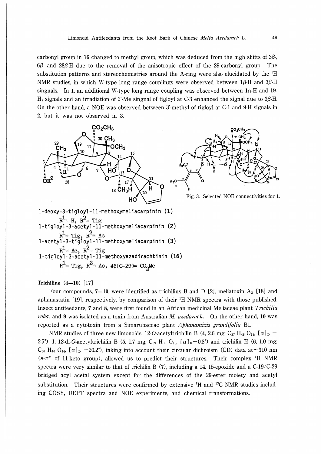carbonyl group in 16 changed to methyl group, which was deduced from the high shifts of  $3\beta$ -,  $6\beta$ - and  $28\beta$ -H due to the removal of the anisotropic effect of the 29-carbonyl group. The substitution patterns and stereochemistries around the A-ring were also elucidated by the <sup>1</sup>H NMR studies, in which W-type long range couplings were observed between lβ-H and 3β-H singnals. In 1, an additional W-type long range coupling was observed between  $1\alpha$ -H and 19-Ha signals and an irradiation of 2'-Me singnal of tigloyl at C-3 enhanced the signal due to 3β-H. On the other hand, a NOE was observed between 3'-methyl of tigloyl at C-l and 9-H signals in 2, but it was not observed in 3.



Trichilins  $(4-10)$  [17]

Four compounds, 7-10, were identified as trichilins B and D [2], meliatoxin  $A_2$  [18] and aphanastatin [19], respectively, by comparison of their  $H$  NMR spectra with those published. Insect antifeedants, 7 and 8, were first found in an African medicinal Meliaceae plant Trichilia roka, and 9 was isolated as a toxin from Australian M. azedarach. On the other hand, 10 was reported as a cytotoxin from a Simarubaceae plant Aphanamixis grandifolia Bl.

NMR studies of three new limonoids, 12-O-acetyltrichilin B (4, 2.6 mg; C<sub>37</sub> H<sub>48</sub> O<sub>14</sub>, [ $\alpha$ ]<sub>D</sub> – 2.5°), 1, 12-di-O-acetyltrichilin B (5, 1.7 mg; C<sub>39</sub> H<sub>50</sub> O<sub>15</sub>,  $[\alpha]_D+0.8$ °) and trichilin H (6, 1.0 mg;  $C_{36}$  H<sub>46</sub> O<sub>14</sub>, [ $\alpha$ ]<sub>D</sub> -20.2°), taking into account their circular dichroism (CD) data at ~310 nm  $(n-\pi^*)$  of 11-keto group), allowed us to predict their structures. Their complex <sup>1</sup>H NMR spectra were very similar to that of trichilin B (7), including a 14, 15-epoxide and a C-19/C-29 bridged acyl acetal system except for the differences of the 29-ester moiety and acetyl substitution. Their structures were confirmed by extensive  ${}^{1}H$  and  ${}^{13}C$  NMR studies including COSY, DEPT spectra and NOE experiments, and chemical transformations.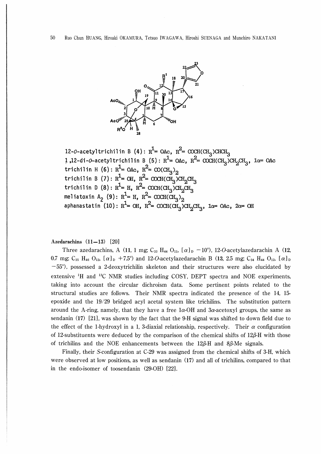

12-0-acetyltrichilin B (4):  $R^1 = OAC$ ,  $R^2 = OCH(CH_3)CHCH_3$ <br>1,12-di-0-acetyltrichilin B (5):  $R^1 = OAC$ ,  $R^2 = OCH(CH_3)CH_2CH_3$ ,  $1\alpha = OAC$ <br>trichilin H (6):  $R^1 = OAC$ ,  $R^2 = O(CH_3)_2$ trichilin B (7):  $R^1 = OH$ ,  $R^2 = OCH(CH_3)CH_2CH_3$ trichilin D (8):  $R^1 = H$ ,  $R^2 = OCH(H_3)CH_2CH_3$ <br>meliatoxin A<sub>2</sub> (9):  $R^1 = H$ ,  $R^2 = OCH(H_3)_2$ <br>aphanastatin (10):  $R^1 = OH$ ,  $R^2 = OCH(H_3)_2$ <br>aphanastatin (10):  $R^1 = OH$ ,  $R^2 = OCH(H_3)CH_2CH_3$ ,  $1\alpha = OAC$ ,  $2\alpha = OH$ 

Azedarachins  $(11-13)$   $[20]$ 

Three azedarachins, A (11, 1 mg; C<sub>33</sub> H<sub>44</sub> O<sub>11</sub>, [ $\alpha$ ]<sub>D</sub> -10°), 12-O-acetylazedarachin A (12, 0.7 mg; C<sub>35</sub> H<sub>46</sub> O<sub>12</sub>,  $[\alpha]_D$  +7.5°) and 12-O-acetylazedarachin B (13, 2.5 mg; C<sub>34</sub> H<sub>44</sub> O<sub>12</sub>,  $[\alpha]_D$  $-55^{\circ}$ ), possessed a 2-deoxytrichilin skeleton and their structures were also elucidated by extensive <sup>1</sup>H and <sup>13</sup>C NMR studies including COSY, DEPT spectra and NOE experiments, taking into account the circular dichroism data. Some pertinent points related to the structural studies are follows. Their NMR spectra indicated the presence of the 14, 15epoxide and the  $19/29$  bridged acyl acetal system like trichilins. The substitution pattern around the A-ring, namely, that they have a free  $1\alpha$ -OH and  $3\alpha$ -acetoxyl groups, the same as sendanin  $(17)$  [21], was shown by the fact that the 9-H signal was shifted to down field due to the effect of the 1-hydroxyl in a 1, 3-diaxial relationship, respectively. Their  $\alpha$  configuration of 12-substituents were deduced by the comparison of the chemical shifts of  $12\beta$ -H with those of trichilins and the NOE enhancements between the  $12\beta$ -H and  $8\beta$ -Me signals.

Finally, their S-configuration at C-29 was assigned from the chemical shifts of 3-H, which were observed at low positions, as well as sendanin (17) and all of trichilins, compared to that in the endo-isomer of toosendanin (29-OH) [22].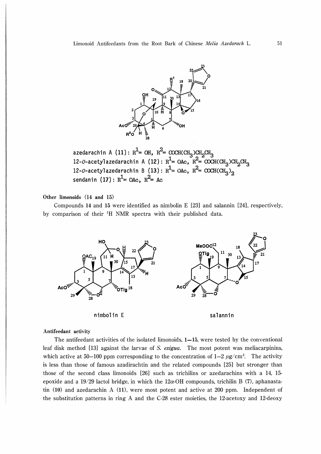

azedarachin A (11):  $R^1$ = OH,  $R^2$ = COCH(CH<sub>3</sub>)CH<sub>2</sub>CH<sub>3</sub><br>12-0-acetylazedarachin A (12):  $R^1$ = OAc,  $R^2$ = COCH(CH<sub>3</sub>)CH<sub>2</sub>CH<sub>3</sub><br>12-0-acetylazedarachin B (13):  $R^1$ = OAc,  $R^2$ = COCH(CH<sub>3</sub>)<sub>2</sub><br>sendanin (17):  $R^1$ = OA

Other limonoids (14 and 15)

Compounds 14 and 15 were identified as nimbolin  $E$  [23] and salannin [24], respectively, by comparison of their <sup>1</sup>H NMR spectra with their published data.







#### Antifeedant activity

The antifeedant activities of the isolated limonoids,  $1-15$ , were tested by the conventional leaf disk method [13] against the larvae of S. exigua. The most potent was meliacarpining. which active at 50–100 ppm corresponding to the concentration of  $1-2 \mu g/cm^2$ . The activity is less than those of famous azadirachtin and the related compounds [25] but stronger than those of the second class limonoids [26] such as trichilins or azedarachins with a 14, 15epoxide and a 19/29 lactol bridge, in which the  $12\alpha$ -OH compounds, trichilin B (7), aphanastatin  $(10)$  and azedarachin A  $(11)$ , were most potent and active at 200 ppm. Independent of the substitution patterns in ring A and the C-28 ester moieties, the 12-acetoxy and 12-deoxy